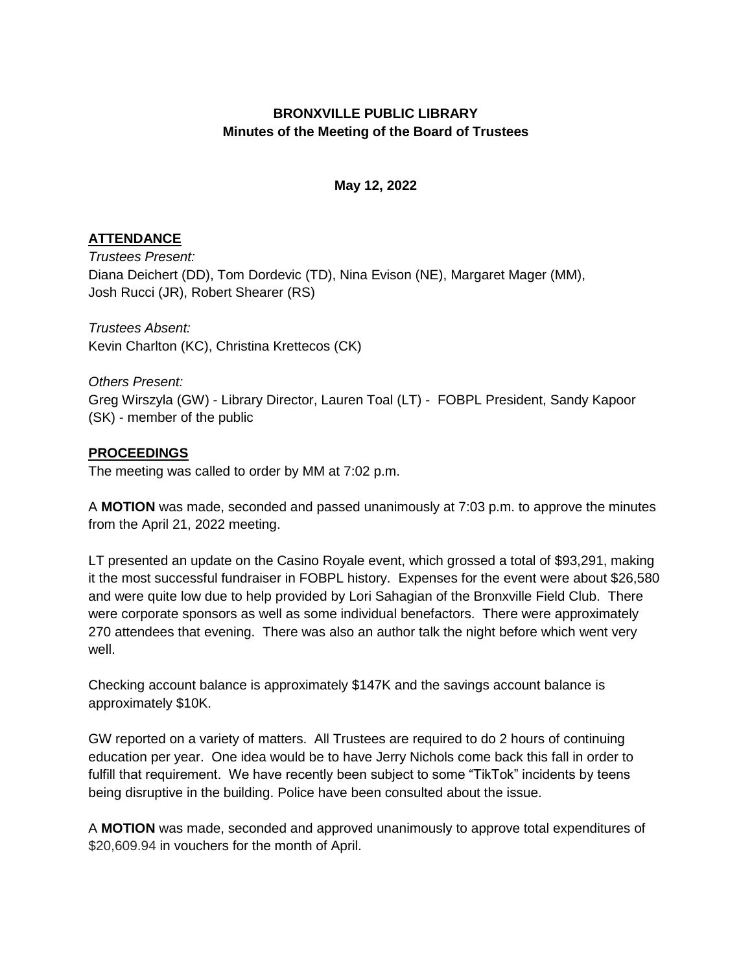## **BRONXVILLE PUBLIC LIBRARY Minutes of the Meeting of the Board of Trustees**

## **May 12, 2022**

## **ATTENDANCE**

*Trustees Present:*  Diana Deichert (DD), Tom Dordevic (TD), Nina Evison (NE), Margaret Mager (MM), Josh Rucci (JR), Robert Shearer (RS)

*Trustees Absent:*  Kevin Charlton (KC), Christina Krettecos (CK)

*Others Present:*  Greg Wirszyla (GW) - Library Director, Lauren Toal (LT) - FOBPL President, Sandy Kapoor (SK) - member of the public

## **PROCEEDINGS**

The meeting was called to order by MM at 7:02 p.m.

A **MOTION** was made, seconded and passed unanimously at 7:03 p.m. to approve the minutes from the April 21, 2022 meeting.

LT presented an update on the Casino Royale event, which grossed a total of \$93,291, making it the most successful fundraiser in FOBPL history. Expenses for the event were about \$26,580 and were quite low due to help provided by Lori Sahagian of the Bronxville Field Club. There were corporate sponsors as well as some individual benefactors. There were approximately 270 attendees that evening. There was also an author talk the night before which went very well.

Checking account balance is approximately \$147K and the savings account balance is approximately \$10K.

GW reported on a variety of matters. All Trustees are required to do 2 hours of continuing education per year. One idea would be to have Jerry Nichols come back this fall in order to fulfill that requirement. We have recently been subject to some "TikTok" incidents by teens being disruptive in the building. Police have been consulted about the issue.

A **MOTION** was made, seconded and approved unanimously to approve total expenditures of \$20,609.94 in vouchers for the month of April.